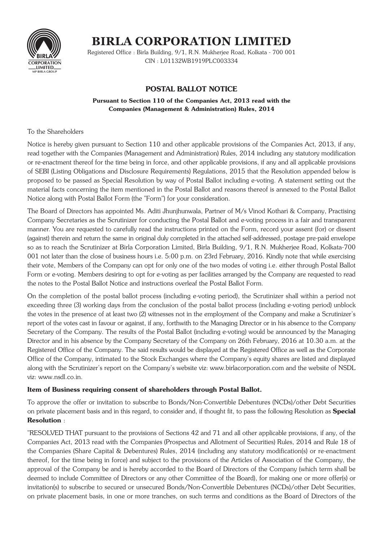

# **BIRLA CORPORATION LIMITED**

Registered Office : Birla Building, 9/1, R.N. Mukherjee Road, Kolkata - 700 001 CIN: L01132WB1919PLC003334

# **POSTAL BALLOT NOTICE**

## Pursuant to Section 110 of the Companies Act, 2013 read with the **Companies (Management & Administration) Rules, 2014**

# To the Shareholders

Notice is hereby given pursuant to Section 110 and other applicable provisions of the Companies Act, 2013, if any, read together with the Companies (Management and Administration) Rules, 2014 including any statutory modification or re-enactment thereof for the time being in force, and other applicable provisions, if any and all applicable provisions of SEBI (Listing Obligations and Disclosure Requirements) Regulations, 2015 that the Resolution appended below is proposed to be passed as Special Resolution by way of Postal Ballot including e-voting. A statement setting out the material facts concerning the item mentioned in the Postal Ballot and reasons thereof is annexed to the Postal Ballot Notice along with Postal Ballot Form (the "Form") for your consideration.

The Board of Directors has appointed Ms. Aditi Jhunihunwala, Partner of M/s Vinod Kothari & Company, Practising Company Secretaries as the Scrutinizer for conducting the Postal Ballot and e-voting process in a fair and transparent manner. You are requested to carefully read the instructions printed on the Form, record your assent (for) or dissent (against) therein and return the same in original duly completed in the attached self-addressed, postage pre-paid envelope so as to reach the Scrutinizer at Birla Corporation Limited, Birla Building, 9/1, R.N. Mukherjee Road, Kolkata-700 001 not later than the close of business hours i.e. 5:00 p.m. on 23rd February, 2016. Kindly note that while exercising their vote, Members of the Company can opt for only one of the two modes of voting *i.e.* either through Postal Ballot Form or e-voting. Members desiring to opt for e-voting as per facilities arranged by the Company are requested to read the notes to the Postal Ballot Notice and instructions overleaf the Postal Ballot Form.

On the completion of the postal ballot process (including e-voting period), the Scrutinizer shall within a period not exceeding three (3) working days from the conclusion of the postal ballot process (including e-voting period) unblock the votes in the presence of at least two (2) witnesses not in the employment of the Company and make a Scrutinizer's report of the votes cast in favour or against, if any, forthwith to the Managing Director or in his absence to the Company Secretary of the Company. The results of the Postal Ballot (including e-voting) would be announced by the Managing Director and in his absence by the Company Secretary of the Company on 26th February, 2016 at 10.30 a.m. at the Registered Office of the Company. The said results would be displayed at the Registered Office as well as the Corporate Office of the Company, intimated to the Stock Exchanges where the Company's equity shares are listed and displayed along with the Scrutinizer's report on the Company's website viz: www.birlacorporation.com and the website of NSDL viz: www.nsdl.co.in.

# Item of Business requiring consent of shareholders through Postal Ballot.

To approve the offer or invitation to subscribe to Bonds/Non-Convertible Debentures (NCDs)/other Debt Securities on private placement basis and in this regard, to consider and, if thought fit, to pass the following Resolution as Special **Resolution:** 

"RESOLVED THAT pursuant to the provisions of Sections 42 and 71 and all other applicable provisions, if any, of the Companies Act, 2013 read with the Companies (Prospectus and Allotment of Securities) Rules, 2014 and Rule 18 of the Companies (Share Capital & Debentures) Rules, 2014 (including any statutory modification(s) or re-enactment thereof, for the time being in force) and subject to the provisions of the Articles of Association of the Company, the approval of the Company be and is hereby accorded to the Board of Directors of the Company (which term shall be deemed to include Committee of Directors or any other Committee of the Board), for making one or more offer(s) or invitation(s) to subscribe to secured or unsecured Bonds/Non-Convertible Debentures (NCDs)/other Debt Securities, on private placement basis, in one or more tranches, on such terms and conditions as the Board of Directors of the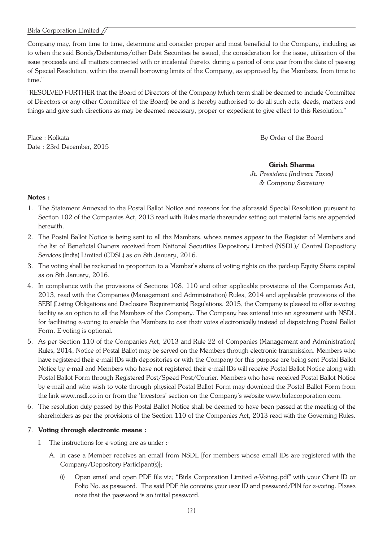### Birla Corporation Limited //

Company may, from time to time, determine and consider proper and most beneficial to the Company, including as to when the said Bonds/Debentures/other Debt Securities be issued, the consideration for the issue, utilization of the issue proceeds and all matters connected with or incidental thereto, during a period of one year from the date of passing of Special Resolution, within the overall borrowing limits of the Company, as approved by the Members, from time to time."

"RESOLVED FURTHER that the Board of Directors of the Company (which term shall be deemed to include Committee of Directors or any other Committee of the Board) be and is hereby authorised to do all such acts, deeds, matters and things and give such directions as may be deemed necessary, proper or expedient to give effect to this Resolution."

Place: Kolkata Date: 23rd December, 2015 By Order of the Board

**Girish Sharma** Jt. President (Indirect Taxes)

& Company Secretary

#### $Note:$

- 1. The Statement Annexed to the Postal Ballot Notice and reasons for the aforesaid Special Resolution pursuant to Section 102 of the Companies Act, 2013 read with Rules made thereunder setting out material facts are appended herewith.
- 2. The Postal Ballot Notice is being sent to all the Members, whose names appear in the Register of Members and the list of Beneficial Owners received from National Securities Depository Limited (NSDL)/ Central Depository Services (India) Limited (CDSL) as on 8th January, 2016.
- 3. The voting shall be reckoned in proportion to a Member's share of voting rights on the paid-up Equity Share capital as on 8th January, 2016.
- 4. In compliance with the provisions of Sections 108, 110 and other applicable provisions of the Companies Act, 2013, read with the Companies (Management and Administration) Rules, 2014 and applicable provisions of the SEBI (Listing Obligations and Disclosure Requirements) Regulations, 2015, the Company is pleased to offer e-voting facility as an option to all the Members of the Company. The Company has entered into an agreement with NSDL for facilitating e-voting to enable the Members to cast their votes electronically instead of dispatching Postal Ballot Form. E-voting is optional.
- 5. As per Section 110 of the Companies Act, 2013 and Rule 22 of Companies (Management and Administration) Rules, 2014, Notice of Postal Ballot may be served on the Members through electronic transmission. Members who have registered their e-mail IDs with depositories or with the Company for this purpose are being sent Postal Ballot Notice by e-mail and Members who have not registered their e-mail IDs will receive Postal Ballot Notice along with Postal Ballot Form through Registered Post/Speed Post/Courier. Members who have received Postal Ballot Notice by e-mail and who wish to vote through physical Postal Ballot Form may download the Postal Ballot Form from the link www.nsdl.co.in or from the 'Investors' section on the Company's website www.birlacorporation.com.
- 6. The resolution duly passed by this Postal Ballot Notice shall be deemed to have been passed at the meeting of the shareholders as per the provisions of the Section 110 of the Companies Act, 2013 read with the Governing Rules.

### 7. Voting through electronic means :

- I. The instructions for e-voting are as under :-
	- A. In case a Member receives an email from NSDL ffor members whose email IDs are registered with the Company/Depository Participant(s)];
		- Open email and open PDF file viz: "Birla Corporation Limited e-Voting.pdf" with your Client ID or  $(i)$ Folio No. as password. The said PDF file contains your user ID and password/PIN for e-voting. Please note that the password is an initial password.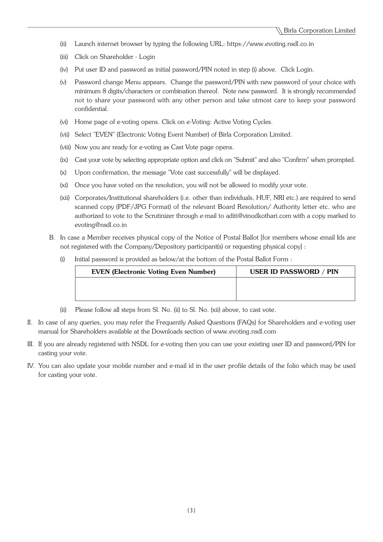- $(ii)$ Launch internet browser by typing the following URL: https://www.evoting.nsdl.co.in
- Click on Shareholder Login  $(iii)$
- (iv) Put user ID and password as initial password/PIN noted in step (i) above. Click Login.
- Password change Menu appears. Change the password/PIN with new password of your choice with  $(v)$ minimum 8 digits/characters or combination thereof. Note new password. It is strongly recommended not to share your password with any other person and take utmost care to keep your password confidential.
- (vi) Home page of e-voting opens. Click on e-Voting: Active Voting Cycles.
- (vii) Select "EVEN" (Electronic Voting Event Number) of Birla Corporation Limited.
- (viii) Now you are ready for e-voting as Cast Vote page opens.
- (ix) Cast your vote by selecting appropriate option and click on "Submit" and also "Confirm" when prompted.
- Upon confirmation, the message "Vote cast successfully" will be displayed.  $(x)$
- (xi) Once you have voted on the resolution, you will not be allowed to modify your vote.
- (xii) Corporates/Institutional shareholders (i.e. other than individuals, HUF, NRI etc.) are required to send scanned copy (PDF/JPG Format) of the relevant Board Resolution/ Authority letter etc. who are authorized to vote to the Scrutinizer through e-mail to aditi@vinodkothari.com with a copy marked to evoting@nsdl.co.in
- B. In case a Member receives physical copy of the Notice of Postal Ballot [for members whose email Ids are not registered with the Company/Depository participant(s) or requesting physical copy] :
	- Initial password is provided as below/at the bottom of the Postal Ballot Form :  $(i)$

| <b>EVEN (Electronic Voting Even Number)</b> | <b>USER ID PASSWORD / PIN</b> |
|---------------------------------------------|-------------------------------|
|                                             |                               |
|                                             |                               |

- Please follow all steps from Sl. No. (ii) to Sl. No. (xii) above, to cast vote.  $(ii)$
- II. In case of any queries, you may refer the Frequently Asked Questions (FAQs) for Shareholders and e-voting user manual for Shareholders available at the Downloads section of www.evoting.nsdl.com
- III. If you are already registered with NSDL for e-voting then you can use your existing user ID and password/PIN for casting your vote.
- IV. You can also update your mobile number and e-mail id in the user profile details of the folio which may be used for casting your vote.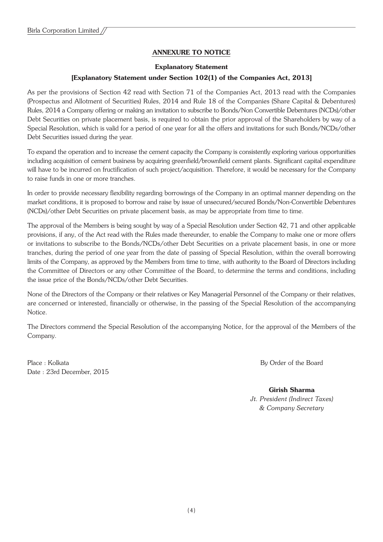# **ANNEXURE TO NOTICE**

#### **Explanatory Statement**

# [Explanatory Statement under Section 102(1) of the Companies Act, 2013]

As per the provisions of Section 42 read with Section 71 of the Companies Act, 2013 read with the Companies (Prospectus and Allotment of Securities) Rules, 2014 and Rule 18 of the Companies (Share Capital & Debentures) Rules, 2014 a Company offering or making an invitation to subscribe to Bonds/Non Convertible Debentures (NCDs)/other Debt Securities on private placement basis, is required to obtain the prior approval of the Shareholders by way of a Special Resolution, which is valid for a period of one year for all the offers and invitations for such Bonds/NCDs/other Debt Securities issued during the year.

To expand the operation and to increase the cement capacity the Company is consistently exploring various opportunities including acquisition of cement business by acquiring greenfield/brownfield cement plants. Significant capital expenditure will have to be incurred on fructification of such project/acquisition. Therefore, it would be necessary for the Company to raise funds in one or more tranches.

In order to provide necessary flexibility regarding borrowings of the Company in an optimal manner depending on the market conditions, it is proposed to borrow and raise by issue of unsecured/secured Bonds/Non-Convertible Debentures (NCDs)/other Debt Securities on private placement basis, as may be appropriate from time to time.

The approval of the Members is being sought by way of a Special Resolution under Section 42, 71 and other applicable provisions, if any, of the Act read with the Rules made thereunder, to enable the Company to make one or more offers or invitations to subscribe to the Bonds/NCDs/other Debt Securities on a private placement basis, in one or more tranches, during the period of one year from the date of passing of Special Resolution, within the overall borrowing limits of the Company, as approved by the Members from time to time, with authority to the Board of Directors including the Committee of Directors or any other Committee of the Board, to determine the terms and conditions, including the issue price of the Bonds/NCDs/other Debt Securities.

None of the Directors of the Company or their relatives or Key Managerial Personnel of the Company or their relatives. are concerned or interested, financially or otherwise, in the passing of the Special Resolution of the accompanying Notice.

The Directors commend the Special Resolution of the accompanying Notice, for the approval of the Members of the Company.

Place: Kolkata Date: 23rd December, 2015 By Order of the Board

**Girish Sharma** Jt. President (Indirect Taxes) & Company Secretary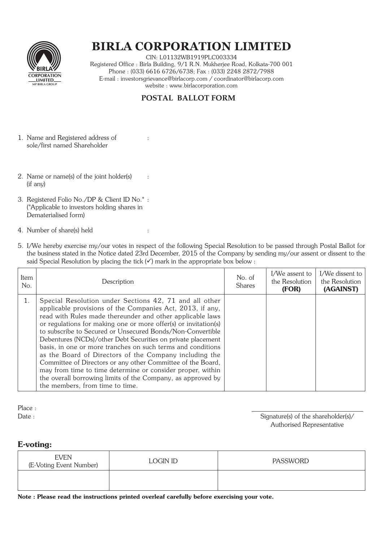

# **BIRLA CORPORATION LIMITED**

CIN: L01132WB1919PLC003334 Registered Office : Birla Building, 9/1 R.N. Mukherjee Road, Kolkata-700 001 Phone: (033) 6616 6726/6738; Fax: (033) 2248 2872/7988 E-mail: investorsgrievance@birlacorp.com / coordinator@birlacorp.com website: www.birlacorporation.com

# **POSTAL BALLOT FORM**

 $\cdot$ 

 $\cdot$ 

 $\ddot{\phantom{0}}$ 

- 1. Name and Registered address of sole/first named Shareholder
- 2. Name or name(s) of the joint holder(s)  $(if any)$
- 3. Registered Folio No./DP & Client ID No.\* : (\*Applicable to investors holding shares in Dematerialised form)
- 4. Number of share(s) held
- 5. I/We hereby exercise my/our votes in respect of the following Special Resolution to be passed through Postal Ballot for the business stated in the Notice dated 23rd December, 2015 of the Company by sending my/our assent or dissent to the said Special Resolution by placing the tick  $(\checkmark)$  mark in the appropriate box below :

| Item<br>No. | Description                                                                                                                                                                                                                                                                                                                                                                                                                                                                                                                                                                                                                                                                                                                               | No. of<br><b>Shares</b> | I/We assent to<br>the Resolution<br>(FOR) | I/We dissent to<br>the Resolution<br>(AGAINST) |
|-------------|-------------------------------------------------------------------------------------------------------------------------------------------------------------------------------------------------------------------------------------------------------------------------------------------------------------------------------------------------------------------------------------------------------------------------------------------------------------------------------------------------------------------------------------------------------------------------------------------------------------------------------------------------------------------------------------------------------------------------------------------|-------------------------|-------------------------------------------|------------------------------------------------|
| 1.          | Special Resolution under Sections 42, 71 and all other<br>applicable provisions of the Companies Act, 2013, if any,<br>read with Rules made thereunder and other applicable laws<br>or regulations for making one or more offer(s) or invitation(s)<br>to subscribe to Secured or Unsecured Bonds/Non-Convertible<br>Debentures (NCDs)/other Debt Securities on private placement<br>basis, in one or more tranches on such terms and conditions<br>as the Board of Directors of the Company including the<br>Committee of Directors or any other Committee of the Board,<br>may from time to time determine or consider proper, within<br>the overall borrowing limits of the Company, as approved by<br>the members, from time to time. |                         |                                           |                                                |

Place:  $Date:$ 

Signature(s) of the shareholder(s)/ Authorised Representative

# E-voting:

| <b>EVEN</b><br>(E-Voting Event Number) | LOGIN ID | <b>PASSWORD</b> |
|----------------------------------------|----------|-----------------|
|                                        |          |                 |

Note: Please read the instructions printed overleaf carefully before exercising your vote.